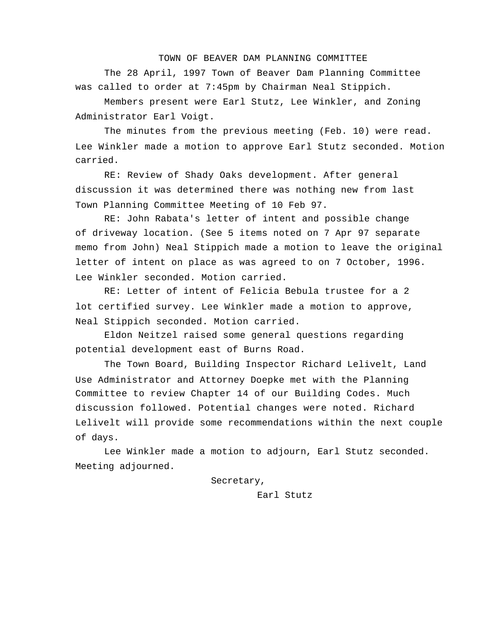## TOWN OF BEAVER DAM PLANNING COMMITTEE

The 28 April, 1997 Town of Beaver Dam Planning Committee was called to order at 7:45pm by Chairman Neal Stippich.

Members present were Earl Stutz, Lee Winkler, and Zoning Administrator Earl Voigt.

The minutes from the previous meeting (Feb. 10) were read. Lee Winkler made a motion to approve Earl Stutz seconded. Motion carried.

RE: Review of Shady Oaks development. After general discussion it was determined there was nothing new from last Town Planning Committee Meeting of 10 Feb 97.

RE: John Rabata's letter of intent and possible change of driveway location. (See 5 items noted on 7 Apr 97 separate memo from John) Neal Stippich made a motion to leave the original letter of intent on place as was agreed to on 7 October, 1996. Lee Winkler seconded. Motion carried.

RE: Letter of intent of Felicia Bebula trustee for a 2 lot certified survey. Lee Winkler made a motion to approve, Neal Stippich seconded. Motion carried.

Eldon Neitzel raised some general questions regarding potential development east of Burns Road.

The Town Board, Building Inspector Richard Lelivelt, Land Use Administrator and Attorney Doepke met with the Planning Committee to review Chapter 14 of our Building Codes. Much discussion followed. Potential changes were noted. Richard Lelivelt will provide some recommendations within the next couple of days.

Lee Winkler made a motion to adjourn, Earl Stutz seconded. Meeting adjourned.

Secretary,

Earl Stutz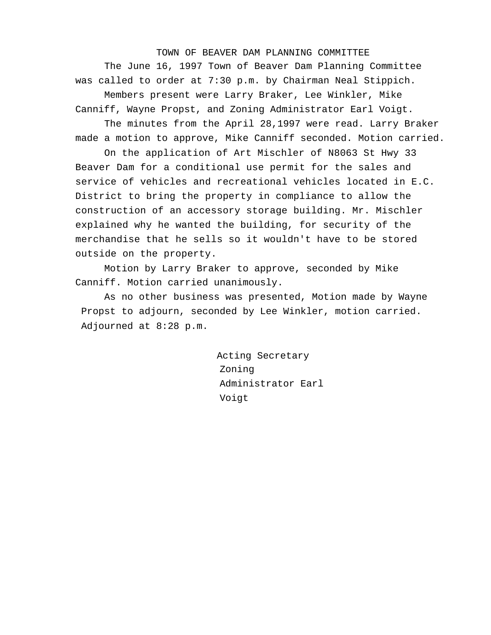TOWN OF BEAVER DAM PLANNING COMMITTEE

The June 16, 1997 Town of Beaver Dam Planning Committee was called to order at 7:30 p.m. by Chairman Neal Stippich.

Members present were Larry Braker, Lee Winkler, Mike Canniff, Wayne Propst, and Zoning Administrator Earl Voigt.

The minutes from the April 28,1997 were read. Larry Braker made a motion to approve, Mike Canniff seconded. Motion carried.

On the application of Art Mischler of N8063 St Hwy 33 Beaver Dam for a conditional use permit for the sales and service of vehicles and recreational vehicles located in E.C. District to bring the property in compliance to allow the construction of an accessory storage building. Mr. Mischler explained why he wanted the building, for security of the merchandise that he sells so it wouldn't have to be stored outside on the property.

Motion by Larry Braker to approve, seconded by Mike Canniff. Motion carried unanimously.

As no other business was presented, Motion made by Wayne Propst to adjourn, seconded by Lee Winkler, motion carried. Adjourned at 8:28 p.m.

> Acting Secretary Zoning Administrator Earl Voigt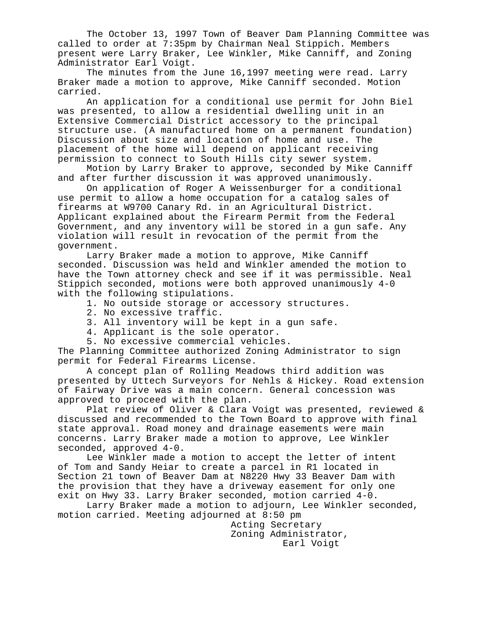The October 13, 1997 Town of Beaver Dam Planning Committee was called to order at 7:35pm by Chairman Neal Stippich. Members present were Larry Braker, Lee Winkler, Mike Canniff, and Zoning Administrator Earl Voigt.

The minutes from the June 16,1997 meeting were read. Larry Braker made a motion to approve, Mike Canniff seconded. Motion carried.

An application for a conditional use permit for John Biel was presented, to allow a residential dwelling unit in an Extensive Commercial District accessory to the principal structure use. (A manufactured home on a permanent foundation) Discussion about size and location of home and use. The placement of the home will depend on applicant receiving permission to connect to South Hills city sewer system.

Motion by Larry Braker to approve, seconded by Mike Canniff and after further discussion it was approved unanimously.

On application of Roger A Weissenburger for a conditional use permit to allow a home occupation for a catalog sales of firearms at W9700 Canary Rd. in an Agricultural District. Applicant explained about the Firearm Permit from the Federal Government, and any inventory will be stored in a gun safe. Any violation will result in revocation of the permit from the government.

Larry Braker made a motion to approve, Mike Canniff seconded. Discussion was held and Winkler amended the motion to have the Town attorney check and see if it was permissible. Neal Stippich seconded, motions were both approved unanimously 4-0 with the following stipulations.

- 1. No outside storage or accessory structures.
- 2. No excessive traffic.
- 3. All inventory will be kept in a gun safe.
- 4. Applicant is the sole operator.
- 5. No excessive commercial vehicles.

The Planning Committee authorized Zoning Administrator to sign permit for Federal Firearms License.

A concept plan of Rolling Meadows third addition was presented by Uttech Surveyors for Nehls & Hickey. Road extension of Fairway Drive was a main concern. General concession was approved to proceed with the plan.

Plat review of Oliver & Clara Voigt was presented, reviewed & discussed and recommended to the Town Board to approve with final state approval. Road money and drainage easements were main concerns. Larry Braker made a motion to approve, Lee Winkler seconded, approved 4-0.

Lee Winkler made a motion to accept the letter of intent of Tom and Sandy Heiar to create a parcel in R1 located in Section 21 town of Beaver Dam at N8220 Hwy 33 Beaver Dam with the provision that they have a driveway easement for only one exit on Hwy 33. Larry Braker seconded, motion carried 4-0.

Larry Braker made a motion to adjourn, Lee Winkler seconded, motion carried. Meeting adjourned at 8:50 pm

> Acting Secretary Zoning Administrator, Earl Voigt